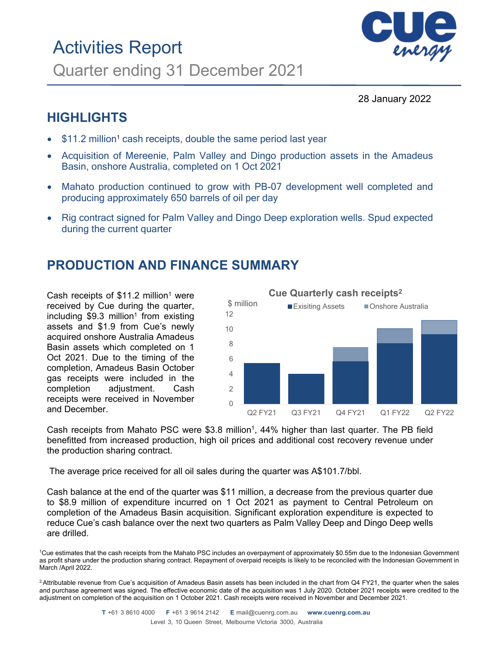# Activities Report Quarter ending 31 December 2021



28 January 2022

## **HIGHLIGHTS**

- \$11.2 million<sup>1</sup> cash receipts, double the same period last year
- Acquisition of Mereenie, Palm Valley and Dingo production assets in the Amadeus Basin, onshore Australia, completed on 1 Oct 2021
- Mahato production continued to grow with PB-07 development well completed and producing approximately 650 barrels of oil per day
- Rig contract signed for Palm Valley and Dingo Deep exploration wells. Spud expected during the current quarter

## **PRODUCTION AND FINANCE SUMMARY**

Cash receipts of  $$11.2$  million<sup>1</sup> were received by Cue during the quarter, including  $$9.3$  million<sup>1</sup> from existing assets and \$1.9 from Cue's newly acquired onshore Australia Amadeus Basin assets which completed on 1 Oct 2021. Due to the timing of the completion, Amadeus Basin October gas receipts were included in the completion adjustment. Cash receipts were received in November and December.



Cash receipts from Mahato PSC were  $$3.8$  million<sup>1</sup>, 44% higher than last quarter. The PB field benefitted from increased production, high oil prices and additional cost recovery revenue under the production sharing contract.

The average price received for all oil sales during the quarter was A\$101.7/bbl.

Cash balance at the end of the quarter was \$11 million, a decrease from the previous quarter due to \$8.9 million of expenditure incurred on 1 Oct 2021 as payment to Central Petroleum on completion of the Amadeus Basin acquisition. Significant exploration expenditure is expected to reduce Cue's cash balance over the next two quarters as Palm Valley Deep and Dingo Deep wells are drilled.

 $^2$ Attributable revenue from Cue's acquisition of Amadeus Basin assets has been included in the chart from Q4 FY21, the quarter when the sales and purchase agreement was signed. The effective economic date of the acquisition was 1 July 2020. October 2021 receipts were credited to the adjustment on completion of the acquisition on 1 October 2021. Cash receipts were received in November and December 2021.

<sup>1</sup> Cue estimates that the cash receipts from the Mahato PSC includes an overpayment of approximately \$0.55m due to the Indonesian Government as profit share under the production sharing contract. Repayment of overpaid receipts is likely to be reconciled with the Indonesian Government in March /April 2022.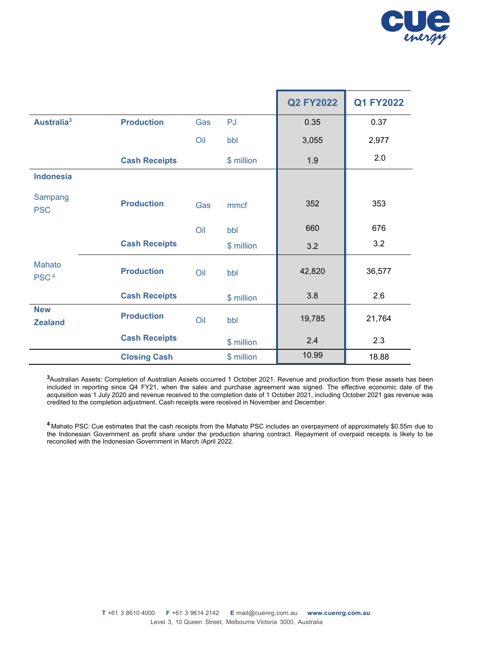

|                                   |                          |            | <b>Q2 FY2022</b> | <b>Q1 FY2022</b> |
|-----------------------------------|--------------------------|------------|------------------|------------------|
| Australia <sup>3</sup>            | <b>Production</b><br>Gas | <b>PJ</b>  | 0.35             | 0.37             |
|                                   | Oil                      | bbl        | 3,055            | 2,977            |
|                                   | <b>Cash Receipts</b>     | \$ million | 1.9              | 2.0              |
| <b>Indonesia</b>                  |                          |            |                  |                  |
| Sampang<br><b>PSC</b>             | <b>Production</b><br>Gas | mmcf       | 352              | 353              |
|                                   | Oil                      | bbl        | 660              | 676              |
|                                   | <b>Cash Receipts</b>     | \$ million | 3.2              | 3.2              |
| <b>Mahato</b><br>PSC <sup>4</sup> | <b>Production</b><br>Oil | bbl        | 42,820           | 36,577           |
|                                   | <b>Cash Receipts</b>     | \$ million | 3.8              | 2.6              |
| <b>New</b><br><b>Zealand</b>      | <b>Production</b><br>Oil | bbl        | 19,785           | 21,764           |
|                                   | <b>Cash Receipts</b>     | \$ million | 2.4              | 2.3              |
|                                   | <b>Closing Cash</b>      | \$ million | 10.99            | 18.88            |

**<sup>3</sup>**Australian Assets: Completion of Australian Assets occurred 1 October 2021. Revenue and production from these assets has been included in reporting since Q4 FY21, when the sales and purchase agreement was signed. The effective economic date of the acquisition was 1 July 2020 and revenue received to the completion date of 1 October 2021, including October 2021 gas revenue was credited to the completion adjustment. Cash receipts were received in November and December.

**<sup>4</sup>** Mahato PSC: Cue estimates that the cash receipts from the Mahato PSC includes an overpayment of approximately \$0.55m due to the Indonesian Government as profit share under the production sharing contract. Repayment of overpaid receipts is likely to be reconciled with the Indonesian Government in March /April 2022.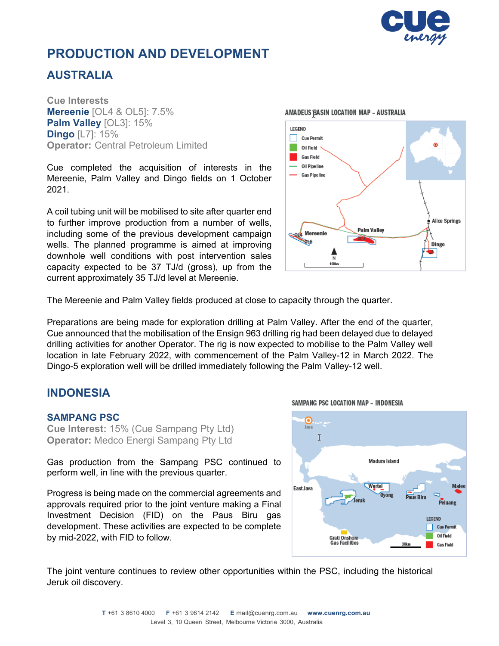

## **PRODUCTION AND DEVELOPMENT**

## **AUSTRALIA**

**Cue Interests Mereenie** [OL4 & OL5]: 7.5% **Palm Valley** [OL3]: 15% **Dingo** [L7]: 15% **Operator:** Central Petroleum Limited

Cue completed the acquisition of interests in the Mereenie, Palm Valley and Dingo fields on 1 October 2021.

A coil tubing unit will be mobilised to site after quarter end to further improve production from a number of wells, including some of the previous development campaign wells. The planned programme is aimed at improving downhole well conditions with post intervention sales capacity expected to be 37 TJ/d (gross), up from the current approximately 35 TJ/d level at Mereenie.



The Mereenie and Palm Valley fields produced at close to capacity through the quarter.

Preparations are being made for exploration drilling at Palm Valley. After the end of the quarter, Cue announced that the mobilisation of the Ensign 963 drilling rig had been delayed due to delayed drilling activities for another Operator. The rig is now expected to mobilise to the Palm Valley well location in late February 2022, with commencement of the Palm Valley-12 in March 2022. The Dingo-5 exploration well will be drilled immediately following the Palm Valley-12 well.

## **INDONESIA**

### **SAMPANG PSC**

**Cue Interest:** 15% (Cue Sampang Pty Ltd) **Operator:** Medco Energi Sampang Pty Ltd

Gas production from the Sampang PSC continued to perform well, in line with the previous quarter.

Progress is being made on the commercial agreements and approvals required prior to the joint venture making a Final Investment Decision (FID) on the Paus Biru gas development. These activities are expected to be complete by mid-2022, with FID to follow.



The joint venture continues to review other opportunities within the PSC, including the historical Jeruk oil discovery.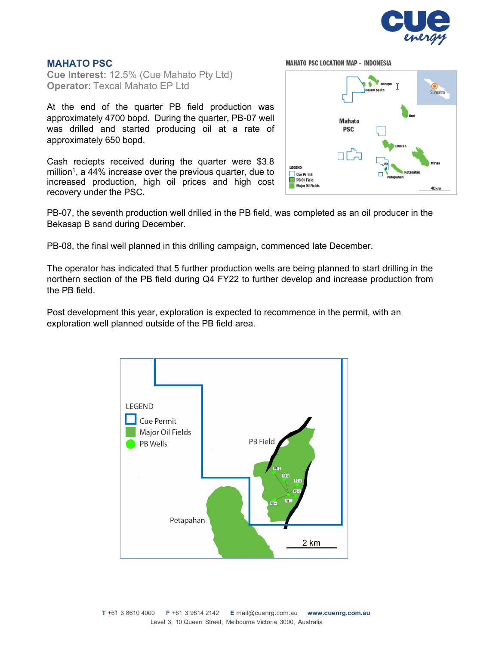

### **MAHATO PSC**

**Cue Interest:** 12.5% (Cue Mahato Pty Ltd) **Operator**: Texcal Mahato EP Ltd

At the end of the quarter PB field production was approximately 4700 bopd. During the quarter, PB-07 well was drilled and started producing oil at a rate of approximately 650 bopd.

Cash reciepts received during the quarter were \$3.8 million<sup>1</sup>, a 44% increase over the previous quarter, due to increased production, high oil prices and high cost recovery under the PSC.

**MAHATO PSC LOCATION MAP - INDONESIA** 



PB-07, the seventh production well drilled in the PB field, was completed as an oil producer in the Bekasap B sand during December.

PB-08, the final well planned in this drilling campaign, commenced late December.

The operator has indicated that 5 further production wells are being planned to start drilling in the northern section of the PB field during Q4 FY22 to further develop and increase production from the PB field.

Post development this year, exploration is expected to recommence in the permit, with an exploration well planned outside of the PB field area.

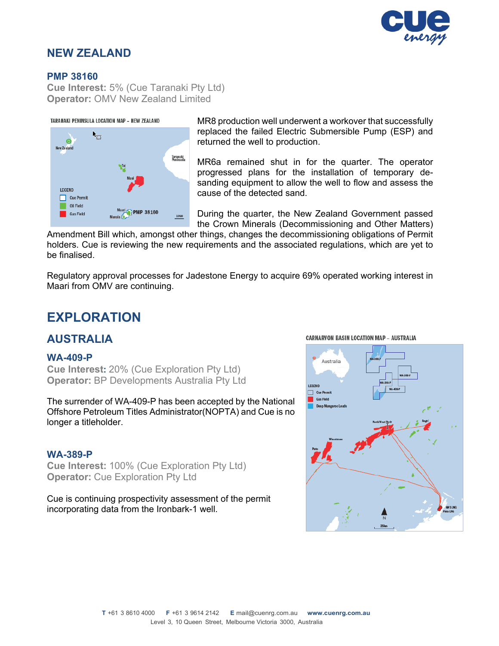

## **NEW ZEALAND**

### **PMP 38160**

**Cue Interest:** 5% (Cue Taranaki Pty Ltd) **Operator:** OMV New Zealand Limited

#### TARANAKI PENINSULA LOCATION MAP - NEW ZEALAND



MR8 production well underwent a workover that successfully replaced the failed Electric Submersible Pump (ESP) and returned the well to production.

MR6a remained shut in for the quarter. The operator progressed plans for the installation of temporary desanding equipment to allow the well to flow and assess the cause of the detected sand.

During the quarter, the New Zealand Government passed the Crown Minerals (Decommissioning and Other Matters)

Amendment Bill which, amongst other things, changes the decommissioning obligations of Permit holders. Cue is reviewing the new requirements and the associated regulations, which are yet to be finalised.

Regulatory approval processes for Jadestone Energy to acquire 69% operated working interest in Maari from OMV are continuing.

## **EXPLORATION**

### **AUSTRALIA**

### **WA-409-P**

**Cue Interest:** 20% (Cue Exploration Pty Ltd) **Operator:** BP Developments Australia Pty Ltd

The surrender of WA-409-P has been accepted by the National Offshore Petroleum Titles Administrator(NOPTA) and Cue is no longer a titleholder.

### **WA-389-P**

**Cue Interest:** 100% (Cue Exploration Pty Ltd) **Operator:** Cue Exploration Pty Ltd

Cue is continuing prospectivity assessment of the permit incorporating data from the Ironbark-1 well.



#### **CARNARVON BASIN LOCATION MAP - AUSTRALIA**